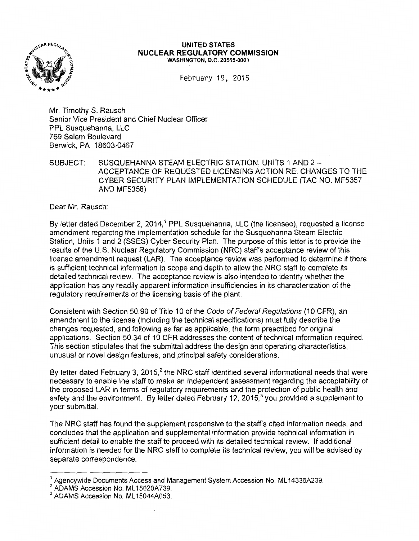

## **UNITED STATES NUCLEAR REGULATORY COMMISSION**  WASHINGTON, D.C. 20555-0001

February 19, 2015

Mr. Timothy S. Rausch Senior Vice President and Chief Nuclear Officer PPL Susquehanna, LLC 769 Salem Boulevard Berwick, PA 18603-0467

SUBJECT: SUSQUEHANNA STEAM ELECTRIC STATION, UNITS 1AND2- ACCEPTANCE OF REQUESTED LICENSING ACTION RE: CHANGES TO THE CYBER SECURITY PLAN IMPLEMENTATION SCHEDULE (TAC NO. MF5357 AND MF5358)

Dear Mr. Rausch:

By letter dated December 2, 2014,<sup>1</sup> PPL Susquehanna, LLC (the licensee), requested a license amendment regarding the implementation schedule for the Susquehanna Steam Electric Station, Units 1 and 2 (SSES) Cyber Security Plan. The purpose of this letter is to provide the results of the U.S. Nuclear Regulatory Commission (NRC) staff's acceptance review of this license amendment request (LAR). The acceptance review was performed to determine if there is sufficient technical information in scope and depth to allow the NRC staff to complete its detailed technical review. The acceptance review is also intended to identify whether the application has any readily apparent information insufficiencies in its characterization of the regulatory requirements or the licensing basis of the plant.

Consistent with Section 50.90 of Title 10 of the Code of Federal Regulations (10 CFR), an amendment to the license (including the technical specifications) must fully describe the changes requested, and following as far as applicable, the form prescribed for original applications. Section 50.34 of 10 CFR addresses the content of technical information required. This section stipulates that the submittal address the design and operating characteristics, unusual or novel design features, and principal safety considerations.

By letter dated February 3, 2015, $2$  the NRC staff identified several informational needs that were necessary to enable the staff to make an independent assessment regarding the acceptability of the proposed LAR in terms of regulatory requirements and the protection of public health and safety and the environment. By letter dated February 12, 2015, $3$  you provided a supplement to your submittal.

The NRC staff has found the supplement responsive to the staff's cited information needs, and concludes that the application and supplemental information provide technical information in sufficient detail to enable the staff to proceed with its detailed technical review. If additional information is needed for the NRC staff to complete its technical review, you will be advised by separate correspondence.

 $<sup>1</sup>$  Agencywide Documents Access and Management System Accession No. ML14336A239.</sup>

<sup>2&</sup>lt;br>ADAMS Accession No. ML15020A739.<br><sup>3</sup> ADAMS Accession No. ML15044A053.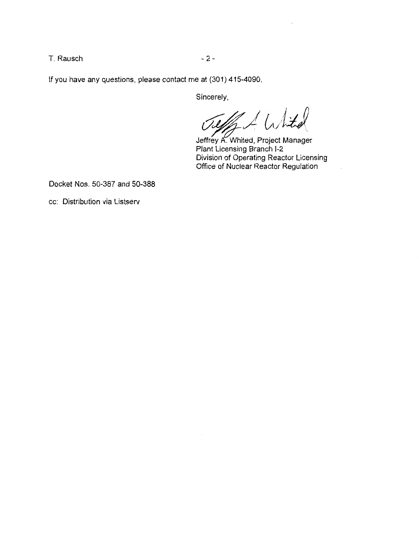T. Rausch **- 2 -** 2 -

If you have any questions, please contact me at (301) 415-4090.

Sincerely,

 $\angle$  White

Jeffrey A. Whited, Project Manager Plant Licensing Branch 1-2 Division of Operating Reactor Licensing Office of Nuclear Reactor Regulation

Docket Nos. 50-387 and 50-388

cc: Distribution via Listserv